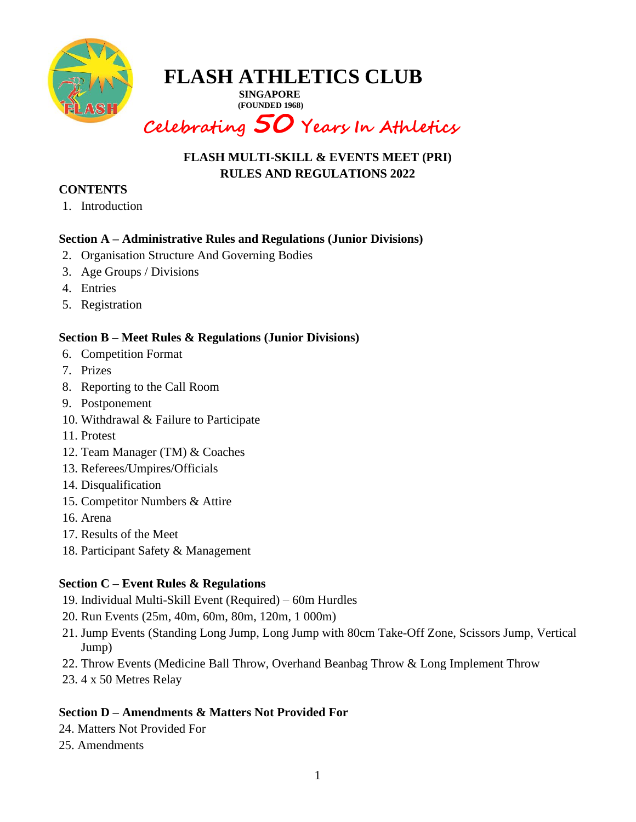

**SINGAPORE (FOUNDED 1968)**

## **Celebrating 50 Years In Athletics**

### **FLASH MULTI-SKILL & EVENTS MEET (PRI) RULES AND REGULATIONS 2022**

#### **CONTENTS**

1. Introduction

### **Section A – Administrative Rules and Regulations (Junior Divisions)**

- 2. Organisation Structure And Governing Bodies
- 3. Age Groups / Divisions
- 4. Entries
- 5. Registration

### **Section B – Meet Rules & Regulations (Junior Divisions)**

- 6. Competition Format
- 7. Prizes
- 8. Reporting to the Call Room
- 9. Postponement
- 10. Withdrawal & Failure to Participate
- 11. Protest
- 12. Team Manager (TM) & Coaches
- 13. Referees/Umpires/Officials
- 14. Disqualification
- 15. Competitor Numbers & Attire
- 16. Arena
- 17. Results of the Meet
- 18. Participant Safety & Management

### **Section C – Event Rules & Regulations**

- 19. Individual Multi-Skill Event (Required) 60m Hurdles
- 20. Run Events (25m, 40m, 60m, 80m, 120m, 1 000m)
- 21. Jump Events (Standing Long Jump, Long Jump with 80cm Take-Off Zone, Scissors Jump, Vertical Jump)
- 22. Throw Events (Medicine Ball Throw, Overhand Beanbag Throw & Long Implement Throw
- 23. 4 x 50 Metres Relay

### **Section D – Amendments & Matters Not Provided For**

- 24. Matters Not Provided For
- 25. Amendments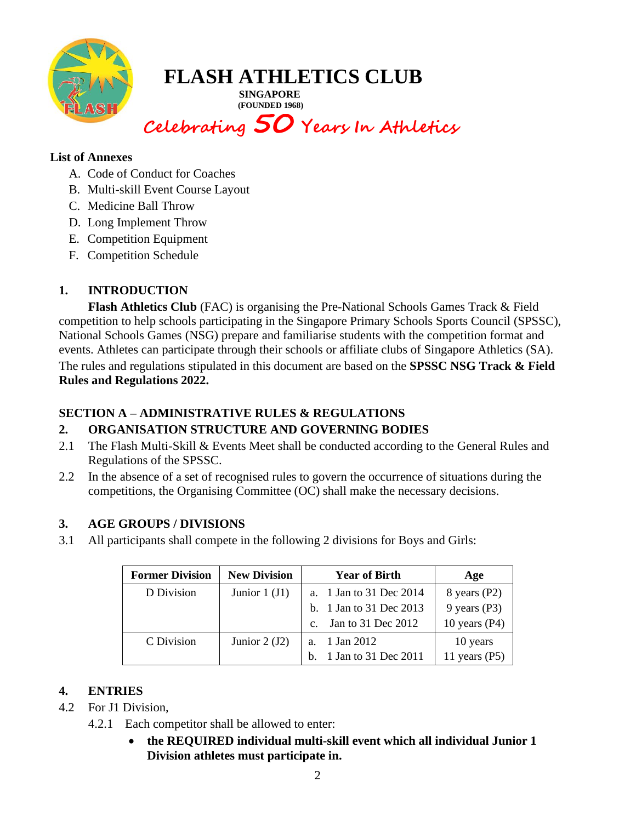

**SINGAPORE (FOUNDED 1968)**

**Celebrating 50 Years In Athletics**

#### **List of Annexes**

- A. Code of Conduct for Coaches
- B. Multi-skill Event Course Layout
- C. Medicine Ball Throw
- D. Long Implement Throw
- E. Competition Equipment
- F. Competition Schedule

### **1. INTRODUCTION**

**Flash Athletics Club** (FAC) is organising the Pre-National Schools Games Track & Field competition to help schools participating in the Singapore Primary Schools Sports Council (SPSSC), National Schools Games (NSG) prepare and familiarise students with the competition format and events. Athletes can participate through their schools or affiliate clubs of Singapore Athletics (SA). The rules and regulations stipulated in this document are based on the **SPSSC NSG Track & Field Rules and Regulations 2022.**

### **SECTION A – ADMINISTRATIVE RULES & REGULATIONS**

### **2. ORGANISATION STRUCTURE AND GOVERNING BODIES**

- 2.1 The Flash Multi-Skill & Events Meet shall be conducted according to the General Rules and Regulations of the SPSSC.
- 2.2 In the absence of a set of recognised rules to govern the occurrence of situations during the competitions, the Organising Committee (OC) shall make the necessary decisions.

### **3. AGE GROUPS / DIVISIONS**

3.1 All participants shall compete in the following 2 divisions for Boys and Girls:

| <b>Former Division</b> | <b>New Division</b> | <b>Year of Birth</b>    | Age             |
|------------------------|---------------------|-------------------------|-----------------|
| D Division             | Junior $1 (J1)$     | a. 1 Jan to 31 Dec 2014 | 8 years $(P2)$  |
|                        |                     | b. 1 Jan to 31 Dec 2013 | $9$ years (P3)  |
|                        |                     | c. Jan to 31 Dec 2012   | 10 years $(P4)$ |
| C Division             | Junior $2(J2)$      | a. 1 Jan 2012           | 10 years        |
|                        |                     | b. 1 Jan to 31 Dec 2011 | 11 years $(P5)$ |

### **4. ENTRIES**

- 4.2 For J1 Division,
	- 4.2.1 Each competitor shall be allowed to enter:
		- **the REQUIRED individual multi-skill event which all individual Junior 1 Division athletes must participate in.**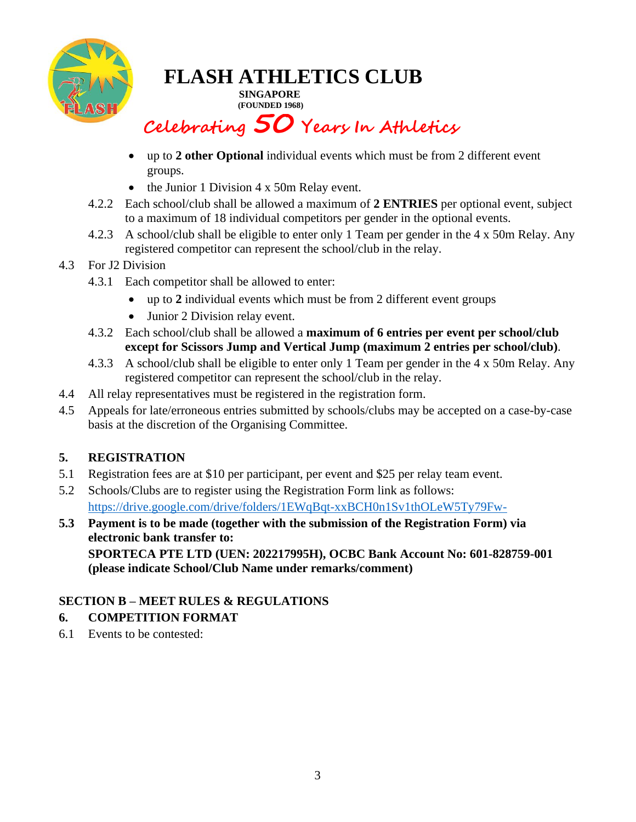

**SINGAPORE (FOUNDED 1968)**

## **Celebrating 50 Years In Athletics**

- up to **2 other Optional** individual events which must be from 2 different event groups.
- the Junior 1 Division 4 x 50m Relay event.
- 4.2.2 Each school/club shall be allowed a maximum of **2 ENTRIES** per optional event, subject to a maximum of 18 individual competitors per gender in the optional events.
- 4.2.3 A school/club shall be eligible to enter only 1 Team per gender in the 4 x 50m Relay. Any registered competitor can represent the school/club in the relay.

### 4.3 For J2 Division

- 4.3.1 Each competitor shall be allowed to enter:
	- up to **2** individual events which must be from 2 different event groups
	- Junior 2 Division relay event.
- 4.3.2 Each school/club shall be allowed a **maximum of 6 entries per event per school/club except for Scissors Jump and Vertical Jump (maximum 2 entries per school/club)**.
- 4.3.3 A school/club shall be eligible to enter only 1 Team per gender in the 4 x 50m Relay. Any registered competitor can represent the school/club in the relay.
- 4.4 All relay representatives must be registered in the registration form.
- 4.5 Appeals for late/erroneous entries submitted by schools/clubs may be accepted on a case-by-case basis at the discretion of the Organising Committee.

### **5. REGISTRATION**

- 5.1 Registration fees are at \$10 per participant, per event and \$25 per relay team event.
- 5.2 Schools/Clubs are to register using the Registration Form link as follows: <https://drive.google.com/drive/folders/1EWqBqt-xxBCH0n1Sv1thOLeW5Ty79Fw->
- **5.3 Payment is to be made (together with the submission of the Registration Form) via electronic bank transfer to:**

**SPORTECA PTE LTD (UEN: 202217995H), OCBC Bank Account No: 601-828759-001 (please indicate School/Club Name under remarks/comment)**

### **SECTION B – MEET RULES & REGULATIONS**

### **6. COMPETITION FORMAT**

6.1 Events to be contested: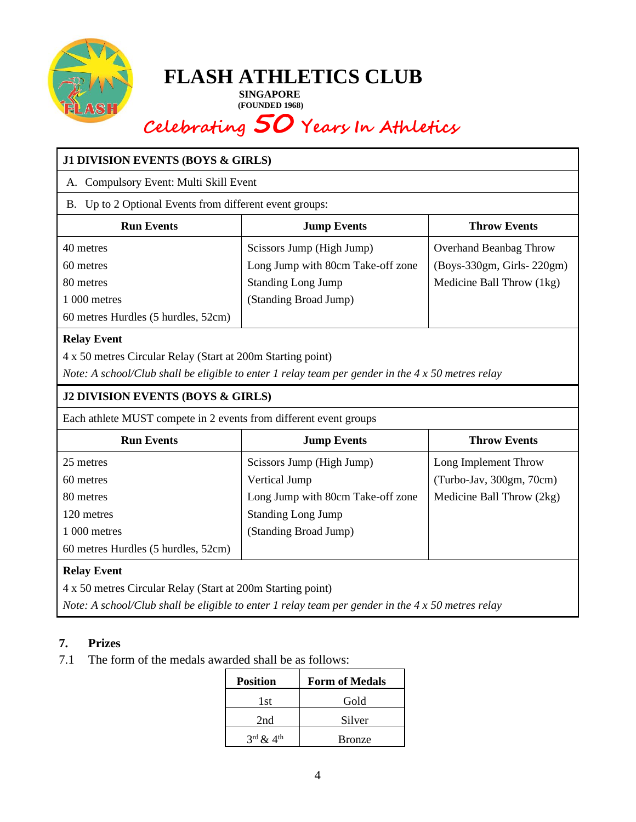

**SINGAPORE**<br>(FOUNDED 1968)  **(FOUNDED 1968)**

# **Celebrating 50 Years In Athletics**

| <b>J1 DIVISION EVENTS (BOYS &amp; GIRLS)</b>                                                                                                                                                  |                                                                |                               |  |  |  |  |  |
|-----------------------------------------------------------------------------------------------------------------------------------------------------------------------------------------------|----------------------------------------------------------------|-------------------------------|--|--|--|--|--|
| A. Compulsory Event: Multi Skill Event                                                                                                                                                        |                                                                |                               |  |  |  |  |  |
| B. Up to 2 Optional Events from different event groups:                                                                                                                                       |                                                                |                               |  |  |  |  |  |
| <b>Run Events</b><br><b>Throw Events</b><br><b>Jump Events</b>                                                                                                                                |                                                                |                               |  |  |  |  |  |
| 40 metres                                                                                                                                                                                     | Scissors Jump (High Jump)                                      | <b>Overhand Beanbag Throw</b> |  |  |  |  |  |
| 60 metres                                                                                                                                                                                     | Long Jump with 80cm Take-off zone<br>(Boys-330gm, Girls-220gm) |                               |  |  |  |  |  |
| 80 metres                                                                                                                                                                                     | <b>Standing Long Jump</b>                                      | Medicine Ball Throw (1kg)     |  |  |  |  |  |
| 1 000 metres                                                                                                                                                                                  | (Standing Broad Jump)                                          |                               |  |  |  |  |  |
| 60 metres Hurdles (5 hurdles, 52cm)                                                                                                                                                           |                                                                |                               |  |  |  |  |  |
| <b>Relay Event</b><br>4 x 50 metres Circular Relay (Start at 200m Starting point)<br>Note: A school/Club shall be eligible to enter 1 relay team per gender in the $4 \times 50$ metres relay |                                                                |                               |  |  |  |  |  |
| <b>J2 DIVISION EVENTS (BOYS &amp; GIRLS)</b>                                                                                                                                                  |                                                                |                               |  |  |  |  |  |
|                                                                                                                                                                                               |                                                                |                               |  |  |  |  |  |
| Each athlete MUST compete in 2 events from different event groups                                                                                                                             |                                                                |                               |  |  |  |  |  |
| <b>Run Events</b>                                                                                                                                                                             | <b>Jump Events</b>                                             | <b>Throw Events</b>           |  |  |  |  |  |
| 25 metres                                                                                                                                                                                     | Scissors Jump (High Jump)                                      | Long Implement Throw          |  |  |  |  |  |
| 60 metres                                                                                                                                                                                     | Vertical Jump                                                  | (Turbo-Jav, 300gm, 70cm)      |  |  |  |  |  |
| 80 metres                                                                                                                                                                                     | Long Jump with 80cm Take-off zone                              | Medicine Ball Throw (2kg)     |  |  |  |  |  |
| 120 metres                                                                                                                                                                                    | <b>Standing Long Jump</b>                                      |                               |  |  |  |  |  |
| 1 000 metres                                                                                                                                                                                  | (Standing Broad Jump)                                          |                               |  |  |  |  |  |
| 60 metres Hurdles (5 hurdles, 52cm)                                                                                                                                                           |                                                                |                               |  |  |  |  |  |
| <b>Relay Event</b>                                                                                                                                                                            |                                                                |                               |  |  |  |  |  |
| 4 x 50 metres Circular Relay (Start at 200m Starting point)                                                                                                                                   |                                                                |                               |  |  |  |  |  |

### **7. Prizes**

7.1 The form of the medals awarded shall be as follows:

| <b>Position</b>                   | <b>Form of Medals</b> |
|-----------------------------------|-----------------------|
| 1st                               | Gold                  |
| 2nd                               | Silver                |
| $3^{\text{rd}}$ & $4^{\text{th}}$ | <b>Bronze</b>         |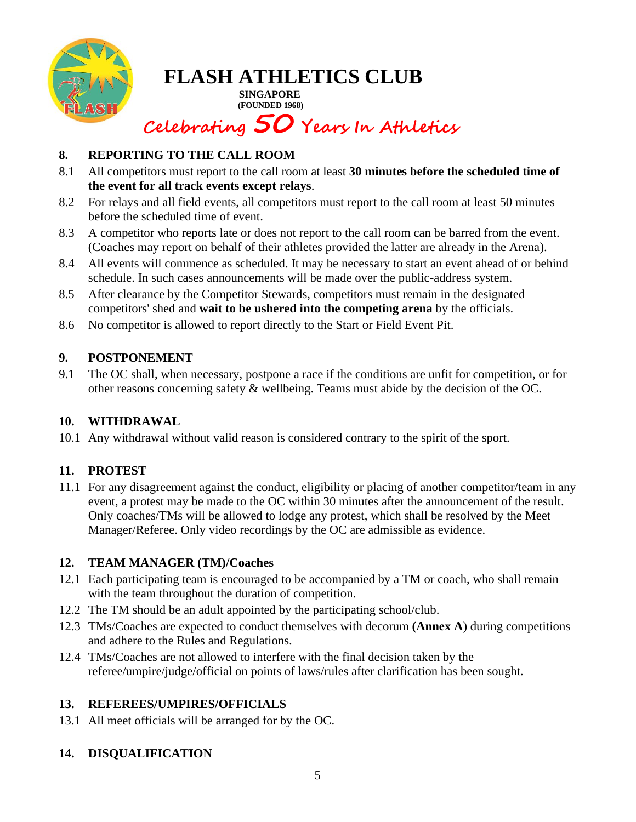

**SINGAPORE (FOUNDED 1968)**

## **Celebrating 50 Years In Athletics**

### **8. REPORTING TO THE CALL ROOM**

- 8.1 All competitors must report to the call room at least **30 minutes before the scheduled time of the event for all track events except relays**.
- 8.2 For relays and all field events, all competitors must report to the call room at least 50 minutes before the scheduled time of event.
- 8.3 A competitor who reports late or does not report to the call room can be barred from the event. (Coaches may report on behalf of their athletes provided the latter are already in the Arena).
- 8.4 All events will commence as scheduled. It may be necessary to start an event ahead of or behind schedule. In such cases announcements will be made over the public-address system.
- 8.5 After clearance by the Competitor Stewards, competitors must remain in the designated competitors' shed and **wait to be ushered into the competing arena** by the officials.
- 8.6 No competitor is allowed to report directly to the Start or Field Event Pit.

### **9. POSTPONEMENT**

9.1 The OC shall, when necessary, postpone a race if the conditions are unfit for competition, or for other reasons concerning safety & wellbeing. Teams must abide by the decision of the OC.

### **10. WITHDRAWAL**

10.1 Any withdrawal without valid reason is considered contrary to the spirit of the sport.

### **11. PROTEST**

11.1 For any disagreement against the conduct, eligibility or placing of another competitor/team in any event, a protest may be made to the OC within 30 minutes after the announcement of the result. Only coaches/TMs will be allowed to lodge any protest, which shall be resolved by the Meet Manager/Referee. Only video recordings by the OC are admissible as evidence.

### **12. TEAM MANAGER (TM)/Coaches**

- 12.1 Each participating team is encouraged to be accompanied by a TM or coach, who shall remain with the team throughout the duration of competition.
- 12.2 The TM should be an adult appointed by the participating school/club.
- 12.3 TMs/Coaches are expected to conduct themselves with decorum **(Annex A**) during competitions and adhere to the Rules and Regulations.
- 12.4 TMs/Coaches are not allowed to interfere with the final decision taken by the referee/umpire/judge/official on points of laws/rules after clarification has been sought.

### **13. REFEREES/UMPIRES/OFFICIALS**

13.1 All meet officials will be arranged for by the OC.

### **14. DISQUALIFICATION**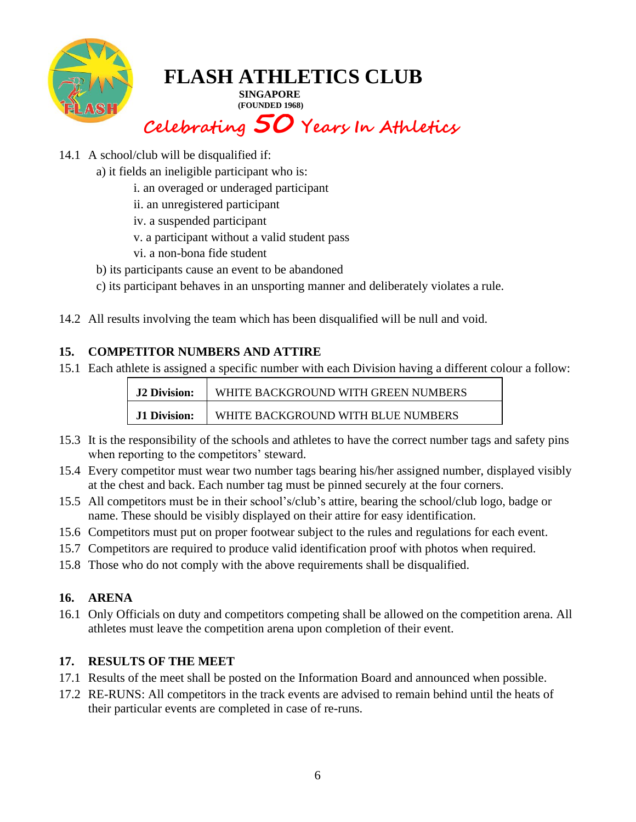

**SINGAPORE (FOUNDED 1968)**

## **Celebrating 50 Years In Athletics**

- 14.1 A school/club will be disqualified if:
	- a) it fields an ineligible participant who is:
		- i. an overaged or underaged participant
		- ii. an unregistered participant
		- iv. a suspended participant
		- v. a participant without a valid student pass
		- vi. a non-bona fide student
	- b) its participants cause an event to be abandoned
	- c) its participant behaves in an unsporting manner and deliberately violates a rule.
- 14.2 All results involving the team which has been disqualified will be null and void.

### **15. COMPETITOR NUMBERS AND ATTIRE**

15.1 Each athlete is assigned a specific number with each Division having a different colour a follow:

| <b>J2 Division:</b> | WHITE BACKGROUND WITH GREEN NUMBERS |
|---------------------|-------------------------------------|
| <b>J1 Division:</b> | WHITE BACKGROUND WITH BLUE NUMBERS  |

- 15.3 It is the responsibility of the schools and athletes to have the correct number tags and safety pins when reporting to the competitors' steward.
- 15.4 Every competitor must wear two number tags bearing his/her assigned number, displayed visibly at the chest and back. Each number tag must be pinned securely at the four corners.
- 15.5 All competitors must be in their school's/club's attire, bearing the school/club logo, badge or name. These should be visibly displayed on their attire for easy identification.
- 15.6 Competitors must put on proper footwear subject to the rules and regulations for each event.
- 15.7 Competitors are required to produce valid identification proof with photos when required.
- 15.8 Those who do not comply with the above requirements shall be disqualified.

### **16. ARENA**

16.1 Only Officials on duty and competitors competing shall be allowed on the competition arena. All athletes must leave the competition arena upon completion of their event.

### **17. RESULTS OF THE MEET**

- 17.1 Results of the meet shall be posted on the Information Board and announced when possible.
- 17.2 RE-RUNS: All competitors in the track events are advised to remain behind until the heats of their particular events are completed in case of re-runs.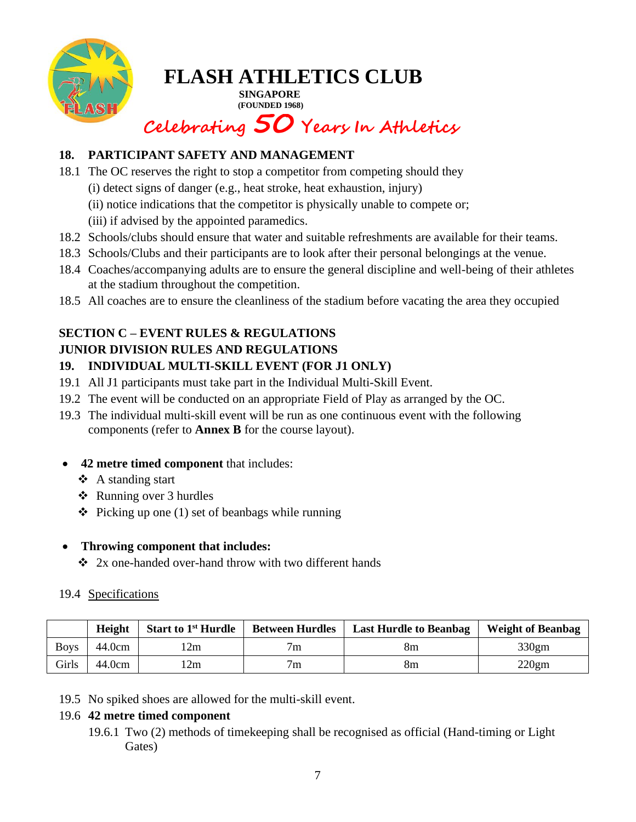

**SINGAPORE (FOUNDED 1968)**

## **Celebrating 50 Years In Athletics**

### **18. PARTICIPANT SAFETY AND MANAGEMENT**

- 18.1 The OC reserves the right to stop a competitor from competing should they
	- (i) detect signs of danger (e.g., heat stroke, heat exhaustion, injury)
	- (ii) notice indications that the competitor is physically unable to compete or;
	- (iii) if advised by the appointed paramedics.
- 18.2 Schools/clubs should ensure that water and suitable refreshments are available for their teams.
- 18.3 Schools/Clubs and their participants are to look after their personal belongings at the venue.
- 18.4 Coaches/accompanying adults are to ensure the general discipline and well-being of their athletes at the stadium throughout the competition.
- 18.5 All coaches are to ensure the cleanliness of the stadium before vacating the area they occupied

#### **SECTION C – EVENT RULES & REGULATIONS JUNIOR DIVISION RULES AND REGULATIONS**

- **19. INDIVIDUAL MULTI-SKILL EVENT (FOR J1 ONLY)**
- 19.1 All J1 participants must take part in the Individual Multi-Skill Event.
- 19.2 The event will be conducted on an appropriate Field of Play as arranged by the OC.
- 19.3 The individual multi-skill event will be run as one continuous event with the following components (refer to **Annex B** for the course layout).
- **42 metre timed component** that includes:
	- ❖ A standing start
	- ❖ Running over 3 hurdles
	- $\triangle$  Picking up one (1) set of beanbags while running

### • **Throwing component that includes:**

❖ 2x one-handed over-hand throw with two different hands

### 19.4 Specifications

|             | Height | <b>Start to 1st Hurdle</b> | <b>Between Hurdles</b> | <b>Last Hurdle to Beanbag</b> | <b>Weight of Beanbag</b> |
|-------------|--------|----------------------------|------------------------|-------------------------------|--------------------------|
| <b>Boys</b> | 44.0cm | 2m                         | /m                     | 8m                            | 330gm                    |
| Girls       | 44.0cm | 2m                         | 7 <sub>m</sub>         | 8m                            | 220gm                    |

19.5 No spiked shoes are allowed for the multi-skill event.

### 19.6 **42 metre timed component**

19.6.1 Two (2) methods of timekeeping shall be recognised as official (Hand-timing or Light Gates)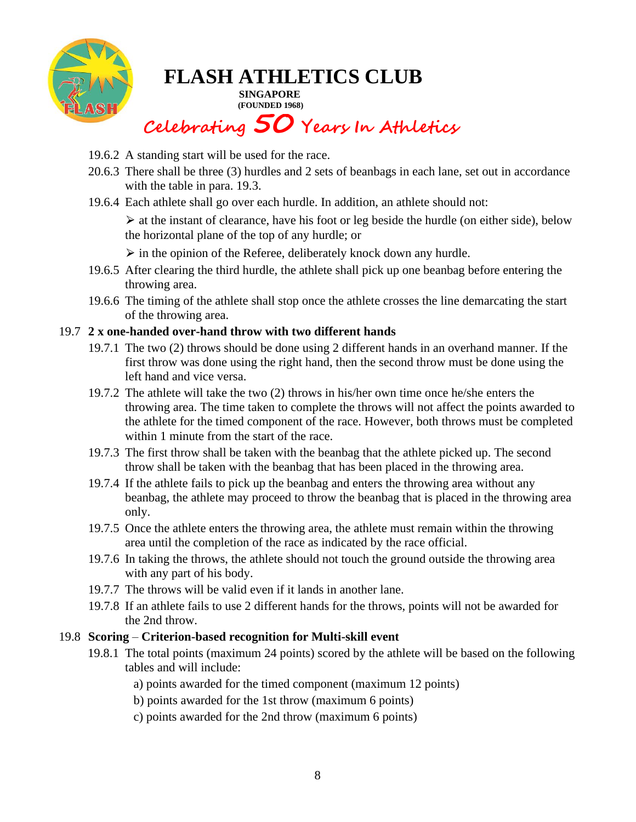

**SINGAPORE (FOUNDED 1968)**

## **Celebrating 50 Years In Athletics**

- 19.6.2 A standing start will be used for the race.
- 20.6.3 There shall be three (3) hurdles and 2 sets of beanbags in each lane, set out in accordance with the table in para. 19.3.
- 19.6.4 Each athlete shall go over each hurdle. In addition, an athlete should not:

 $\triangleright$  at the instant of clearance, have his foot or leg beside the hurdle (on either side), below the horizontal plane of the top of any hurdle; or

 $\triangleright$  in the opinion of the Referee, deliberately knock down any hurdle.

- 19.6.5 After clearing the third hurdle, the athlete shall pick up one beanbag before entering the throwing area.
- 19.6.6 The timing of the athlete shall stop once the athlete crosses the line demarcating the start of the throwing area.

### 19.7 **2 x one-handed over-hand throw with two different hands**

- 19.7.1 The two (2) throws should be done using 2 different hands in an overhand manner. If the first throw was done using the right hand, then the second throw must be done using the left hand and vice versa.
- 19.7.2 The athlete will take the two (2) throws in his/her own time once he/she enters the throwing area. The time taken to complete the throws will not affect the points awarded to the athlete for the timed component of the race. However, both throws must be completed within 1 minute from the start of the race.
- 19.7.3 The first throw shall be taken with the beanbag that the athlete picked up. The second throw shall be taken with the beanbag that has been placed in the throwing area.
- 19.7.4 If the athlete fails to pick up the beanbag and enters the throwing area without any beanbag, the athlete may proceed to throw the beanbag that is placed in the throwing area only.
- 19.7.5 Once the athlete enters the throwing area, the athlete must remain within the throwing area until the completion of the race as indicated by the race official.
- 19.7.6 In taking the throws, the athlete should not touch the ground outside the throwing area with any part of his body.
- 19.7.7 The throws will be valid even if it lands in another lane.
- 19.7.8 If an athlete fails to use 2 different hands for the throws, points will not be awarded for the 2nd throw.

#### 19.8 **Scoring** – **Criterion-based recognition for Multi-skill event**

- 19.8.1 The total points (maximum 24 points) scored by the athlete will be based on the following tables and will include:
	- a) points awarded for the timed component (maximum 12 points)
	- b) points awarded for the 1st throw (maximum 6 points)
	- c) points awarded for the 2nd throw (maximum 6 points)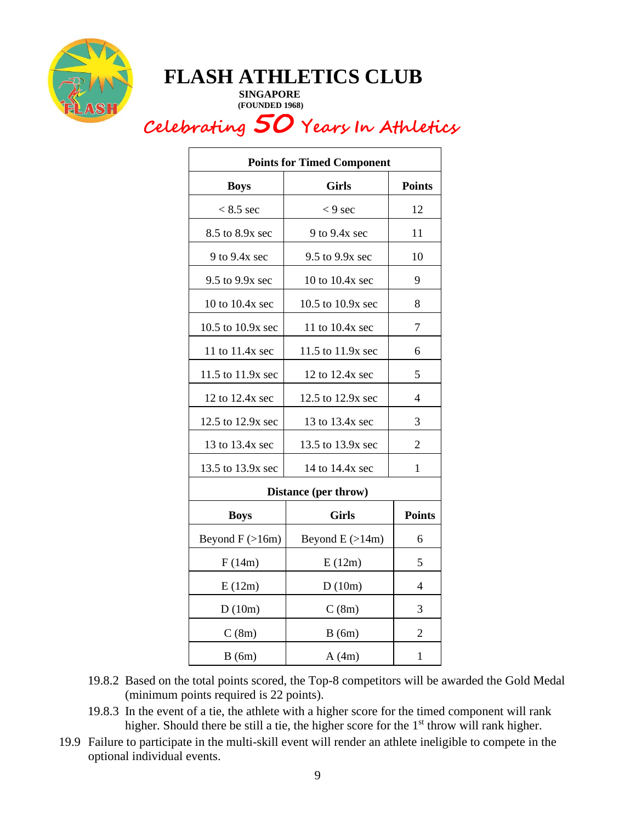

**SINGAPORE (FOUNDED 1968)**

## **Celebrating 50 Years In Athletics**

| <b>Points for Timed Component</b> |                       |                |  |  |  |  |  |
|-----------------------------------|-----------------------|----------------|--|--|--|--|--|
| <b>Boys</b>                       | <b>Girls</b>          | <b>Points</b>  |  |  |  |  |  |
| $< 8.5$ sec                       | $< 9$ sec             | 12             |  |  |  |  |  |
| 8.5 to 8.9x sec                   | $9$ to $9.4x$ sec     | 11             |  |  |  |  |  |
| 9 to 9.4x sec                     | $9.5$ to $9.9x$ sec   | 10             |  |  |  |  |  |
| 9.5 to 9.9x sec                   | 10 to 10.4x sec       | 9              |  |  |  |  |  |
| 10 to 10.4x sec                   | 10.5 to 10.9x sec     | 8              |  |  |  |  |  |
| 10.5 to 10.9x sec                 | 11 to $10.4x$ sec     | 7              |  |  |  |  |  |
| 11 to 11.4x sec                   | 11.5 to 11.9x sec     | 6              |  |  |  |  |  |
| 11.5 to 11.9x sec                 | 12 to 12.4x sec       | 5              |  |  |  |  |  |
| 12 to 12.4x sec                   | 12.5 to 12.9x sec     | 4              |  |  |  |  |  |
| 12.5 to 12.9x sec                 | 13 to 13.4x sec       | 3              |  |  |  |  |  |
| 13 to 13.4x sec                   | 13.5 to 13.9x sec     | $\overline{2}$ |  |  |  |  |  |
| 13.5 to 13.9x sec                 | 14 to 14.4x sec       | $\mathbf{1}$   |  |  |  |  |  |
|                                   | Distance (per throw)  |                |  |  |  |  |  |
| <b>Boys</b>                       | <b>Girls</b>          | <b>Points</b>  |  |  |  |  |  |
| Beyond $F$ ( $>16m$ )             | Beyond $E$ ( $>14m$ ) | 6              |  |  |  |  |  |
| F(14m)                            | E(12m)                | 5              |  |  |  |  |  |
| E(12m)                            | D(10m)                | 4              |  |  |  |  |  |
| D(10m)                            | C(8m)                 | 3              |  |  |  |  |  |
| C(8m)                             | B(6m)                 | $\overline{2}$ |  |  |  |  |  |
| B(6m)                             | A(4m)                 | $\mathbf{1}$   |  |  |  |  |  |

- 19.8.2 Based on the total points scored, the Top-8 competitors will be awarded the Gold Medal (minimum points required is 22 points).
- 19.8.3 In the event of a tie, the athlete with a higher score for the timed component will rank higher. Should there be still a tie, the higher score for the  $1<sup>st</sup>$  throw will rank higher.
- 19.9 Failure to participate in the multi-skill event will render an athlete ineligible to compete in the optional individual events.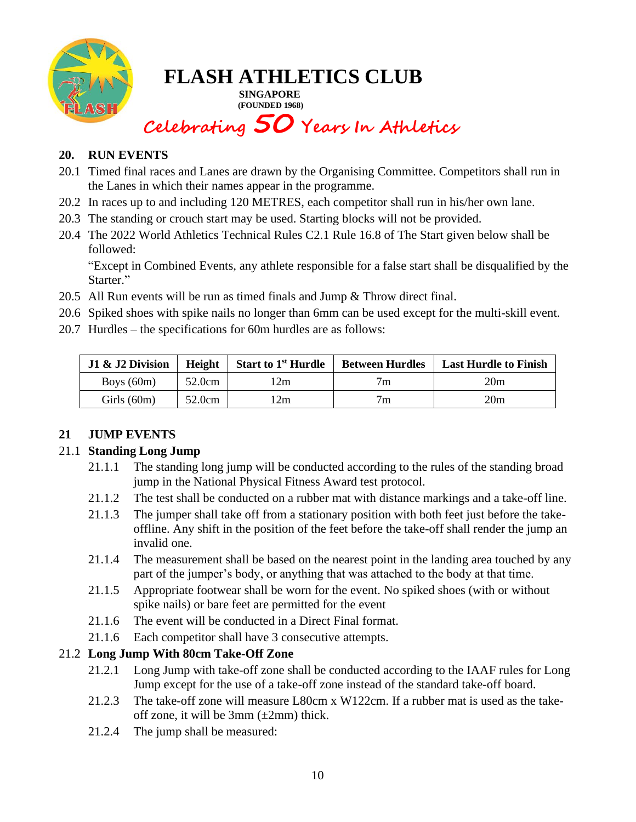

**SINGAPORE (FOUNDED 1968)**

# **Celebrating 50 Years In Athletics**

### **20. RUN EVENTS**

- 20.1 Timed final races and Lanes are drawn by the Organising Committee. Competitors shall run in the Lanes in which their names appear in the programme.
- 20.2 In races up to and including 120 METRES, each competitor shall run in his/her own lane.
- 20.3 The standing or crouch start may be used. Starting blocks will not be provided.
- 20.4 The 2022 World Athletics Technical Rules C2.1 Rule 16.8 of The Start given below shall be followed:

"Except in Combined Events, any athlete responsible for a false start shall be disqualified by the Starter."

- 20.5 All Run events will be run as timed finals and Jump & Throw direct final.
- 20.6 Spiked shoes with spike nails no longer than 6mm can be used except for the multi-skill event.
- 20.7 Hurdles the specifications for 60m hurdles are as follows:

| J1 & J2 Division | <b>Height</b> | <b>Start to 1st Hurdle</b> | <b>Between Hurdles</b> | <b>Last Hurdle to Finish</b> |
|------------------|---------------|----------------------------|------------------------|------------------------------|
| Boys $(60m)$     | 52.0cm        | 2m                         | $\tau_{\rm m}$         | 20m                          |
| Girls $(60m)$    | 52.0cm        | 2m                         | $\tau_{\rm m}$         | 20m                          |

### **21 JUMP EVENTS**

### 21.1 **Standing Long Jump**

- 21.1.1 The standing long jump will be conducted according to the rules of the standing broad jump in the National Physical Fitness Award test protocol.
- 21.1.2 The test shall be conducted on a rubber mat with distance markings and a take-off line.
- 21.1.3 The jumper shall take off from a stationary position with both feet just before the takeoffline. Any shift in the position of the feet before the take-off shall render the jump an invalid one.
- 21.1.4 The measurement shall be based on the nearest point in the landing area touched by any part of the jumper's body, or anything that was attached to the body at that time.
- 21.1.5 Appropriate footwear shall be worn for the event. No spiked shoes (with or without spike nails) or bare feet are permitted for the event
- 21.1.6 The event will be conducted in a Direct Final format.
- 21.1.6 Each competitor shall have 3 consecutive attempts.

### 21.2 **Long Jump With 80cm Take-Off Zone**

- 21.2.1 Long Jump with take-off zone shall be conducted according to the IAAF rules for Long Jump except for the use of a take-off zone instead of the standard take-off board.
- 21.2.3 The take-off zone will measure L80cm x W122cm. If a rubber mat is used as the takeoff zone, it will be  $3mm (\pm 2mm)$  thick.
- 21.2.4 The jump shall be measured: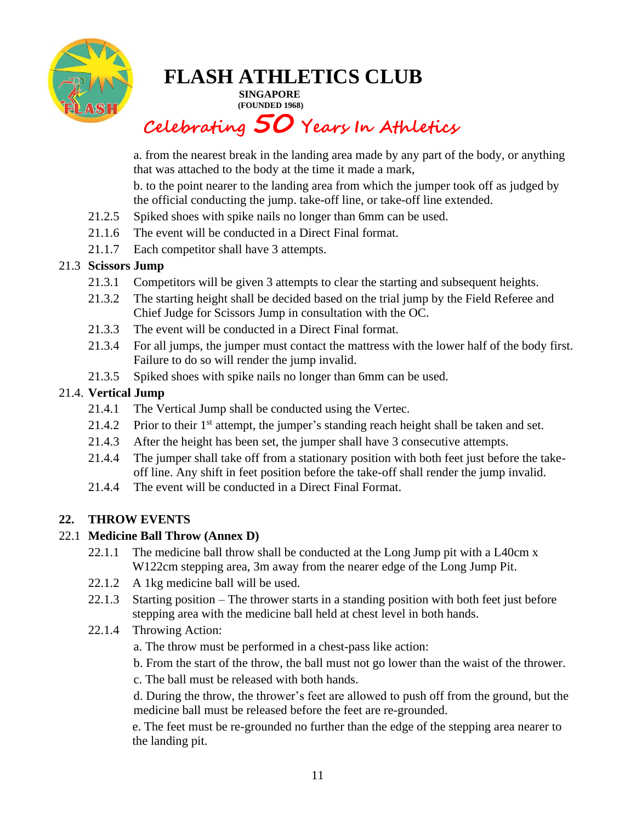

**SINGAPORE (FOUNDED 1968)**

## **Celebrating 50 Years In Athletics**

a. from the nearest break in the landing area made by any part of the body, or anything that was attached to the body at the time it made a mark,

b. to the point nearer to the landing area from which the jumper took off as judged by the official conducting the jump. take-off line, or take-off line extended.

- 21.2.5 Spiked shoes with spike nails no longer than 6mm can be used.
- 21.1.6 The event will be conducted in a Direct Final format.
- 21.1.7 Each competitor shall have 3 attempts.

### 21.3 **Scissors Jump**

- 21.3.1 Competitors will be given 3 attempts to clear the starting and subsequent heights.
- 21.3.2 The starting height shall be decided based on the trial jump by the Field Referee and Chief Judge for Scissors Jump in consultation with the OC.
- 21.3.3 The event will be conducted in a Direct Final format.
- 21.3.4 For all jumps, the jumper must contact the mattress with the lower half of the body first. Failure to do so will render the jump invalid.
- 21.3.5 Spiked shoes with spike nails no longer than 6mm can be used.

### 21.4. **Vertical Jump**

- 21.4.1 The Vertical Jump shall be conducted using the Vertec.
- 21.4.2 Prior to their  $1<sup>st</sup>$  attempt, the jumper's standing reach height shall be taken and set.
- 21.4.3 After the height has been set, the jumper shall have 3 consecutive attempts.
- 21.4.4 The jumper shall take off from a stationary position with both feet just before the takeoff line. Any shift in feet position before the take-off shall render the jump invalid.
- 21.4.4 The event will be conducted in a Direct Final Format.

### **22. THROW EVENTS**

### 22.1 **Medicine Ball Throw (Annex D)**

- 22.1.1 The medicine ball throw shall be conducted at the Long Jump pit with a L40cm x W122cm stepping area, 3m away from the nearer edge of the Long Jump Pit.
- 22.1.2 A 1kg medicine ball will be used.
- 22.1.3 Starting position The thrower starts in a standing position with both feet just before stepping area with the medicine ball held at chest level in both hands.
- 22.1.4 Throwing Action:
	- a. The throw must be performed in a chest-pass like action:
	- b. From the start of the throw, the ball must not go lower than the waist of the thrower.
	- c. The ball must be released with both hands.

d. During the throw, the thrower's feet are allowed to push off from the ground, but the medicine ball must be released before the feet are re-grounded.

e. The feet must be re-grounded no further than the edge of the stepping area nearer to the landing pit.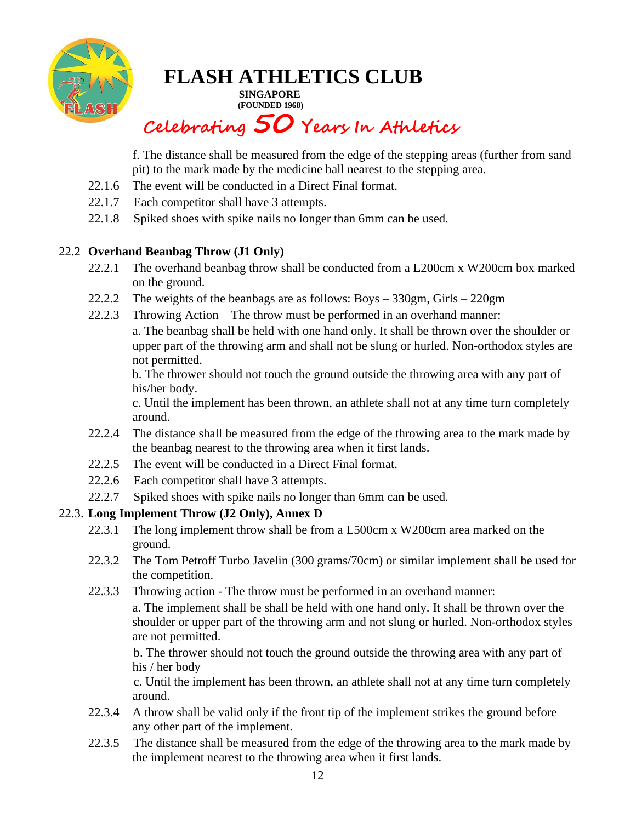

**SINGAPORE (FOUNDED 1968)**

## **Celebrating 50 Years In Athletics**

f. The distance shall be measured from the edge of the stepping areas (further from sand pit) to the mark made by the medicine ball nearest to the stepping area.

- 22.1.6 The event will be conducted in a Direct Final format.
- 22.1.7 Each competitor shall have 3 attempts.
- 22.1.8 Spiked shoes with spike nails no longer than 6mm can be used.

### 22.2 **Overhand Beanbag Throw (J1 Only)**

- 22.2.1 The overhand beanbag throw shall be conducted from a L200cm x W200cm box marked on the ground.
- 22.2.2 The weights of the beanbags are as follows: Boys 330gm, Girls 220gm
- 22.2.3 Throwing Action The throw must be performed in an overhand manner:
	- a. The beanbag shall be held with one hand only. It shall be thrown over the shoulder or upper part of the throwing arm and shall not be slung or hurled. Non-orthodox styles are not permitted.

b. The thrower should not touch the ground outside the throwing area with any part of his/her body.

c. Until the implement has been thrown, an athlete shall not at any time turn completely around.

- 22.2.4 The distance shall be measured from the edge of the throwing area to the mark made by the beanbag nearest to the throwing area when it first lands.
- 22.2.5 The event will be conducted in a Direct Final format.
- 22.2.6 Each competitor shall have 3 attempts.
- 22.2.7 Spiked shoes with spike nails no longer than 6mm can be used.

### 22.3. **Long Implement Throw (J2 Only), Annex D**

- 22.3.1 The long implement throw shall be from a L500cm x W200cm area marked on the ground.
- 22.3.2 The Tom Petroff Turbo Javelin (300 grams/70cm) or similar implement shall be used for the competition.
- 22.3.3 Throwing action The throw must be performed in an overhand manner:

a. The implement shall be shall be held with one hand only. It shall be thrown over the shoulder or upper part of the throwing arm and not slung or hurled. Non-orthodox styles are not permitted.

b. The thrower should not touch the ground outside the throwing area with any part of his / her body

c. Until the implement has been thrown, an athlete shall not at any time turn completely around.

- 22.3.4 A throw shall be valid only if the front tip of the implement strikes the ground before any other part of the implement.
- 22.3.5 The distance shall be measured from the edge of the throwing area to the mark made by the implement nearest to the throwing area when it first lands.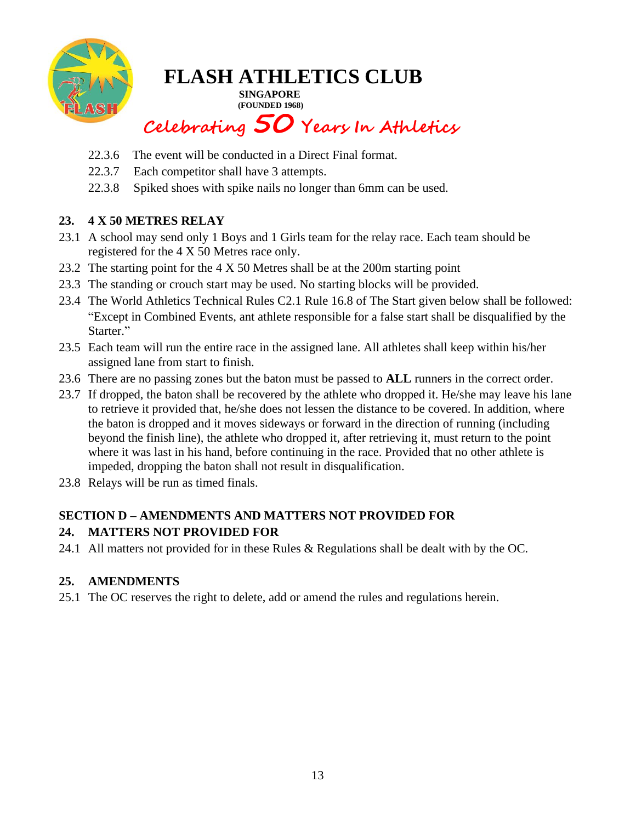

**SINGAPORE (FOUNDED 1968)**

## **Celebrating 50 Years In Athletics**

- 22.3.6 The event will be conducted in a Direct Final format.
- 22.3.7 Each competitor shall have 3 attempts.
- 22.3.8 Spiked shoes with spike nails no longer than 6mm can be used.

### **23. 4 X 50 METRES RELAY**

- 23.1 A school may send only 1 Boys and 1 Girls team for the relay race. Each team should be registered for the 4 X 50 Metres race only.
- 23.2 The starting point for the 4 X 50 Metres shall be at the 200m starting point
- 23.3 The standing or crouch start may be used. No starting blocks will be provided.
- 23.4 The World Athletics Technical Rules C2.1 Rule 16.8 of The Start given below shall be followed: "Except in Combined Events, ant athlete responsible for a false start shall be disqualified by the Starter."
- 23.5 Each team will run the entire race in the assigned lane. All athletes shall keep within his/her assigned lane from start to finish.
- 23.6 There are no passing zones but the baton must be passed to **ALL** runners in the correct order.
- 23.7 If dropped, the baton shall be recovered by the athlete who dropped it. He/she may leave his lane to retrieve it provided that, he/she does not lessen the distance to be covered. In addition, where the baton is dropped and it moves sideways or forward in the direction of running (including beyond the finish line), the athlete who dropped it, after retrieving it, must return to the point where it was last in his hand, before continuing in the race. Provided that no other athlete is impeded, dropping the baton shall not result in disqualification.
- 23.8 Relays will be run as timed finals.

### **SECTION D – AMENDMENTS AND MATTERS NOT PROVIDED FOR**

### **24. MATTERS NOT PROVIDED FOR**

24.1 All matters not provided for in these Rules & Regulations shall be dealt with by the OC.

### **25. AMENDMENTS**

25.1 The OC reserves the right to delete, add or amend the rules and regulations herein.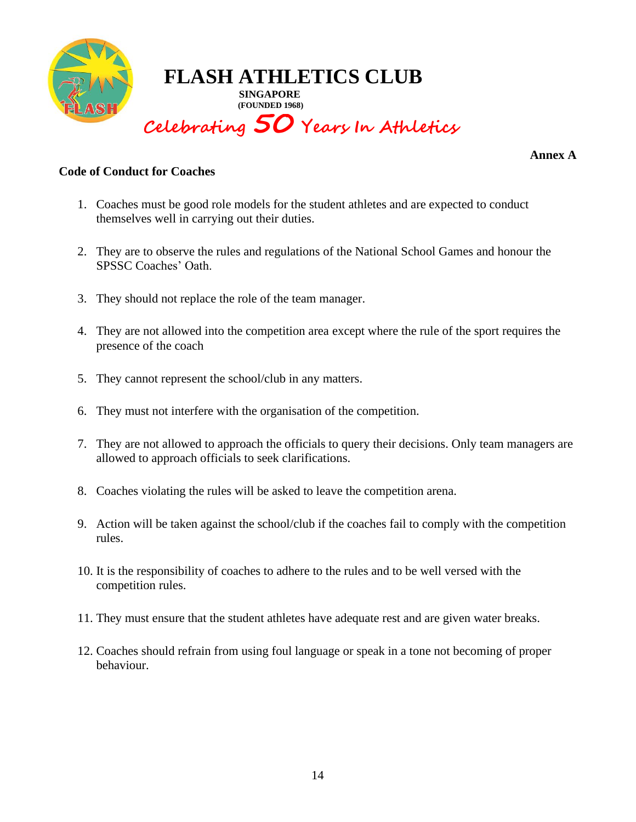

**Annex A**

#### **Code of Conduct for Coaches**

- 1. Coaches must be good role models for the student athletes and are expected to conduct themselves well in carrying out their duties.
- 2. They are to observe the rules and regulations of the National School Games and honour the SPSSC Coaches' Oath.
- 3. They should not replace the role of the team manager.
- 4. They are not allowed into the competition area except where the rule of the sport requires the presence of the coach
- 5. They cannot represent the school/club in any matters.
- 6. They must not interfere with the organisation of the competition.
- 7. They are not allowed to approach the officials to query their decisions. Only team managers are allowed to approach officials to seek clarifications.
- 8. Coaches violating the rules will be asked to leave the competition arena.
- 9. Action will be taken against the school/club if the coaches fail to comply with the competition rules.
- 10. It is the responsibility of coaches to adhere to the rules and to be well versed with the competition rules.
- 11. They must ensure that the student athletes have adequate rest and are given water breaks.
- 12. Coaches should refrain from using foul language or speak in a tone not becoming of proper behaviour.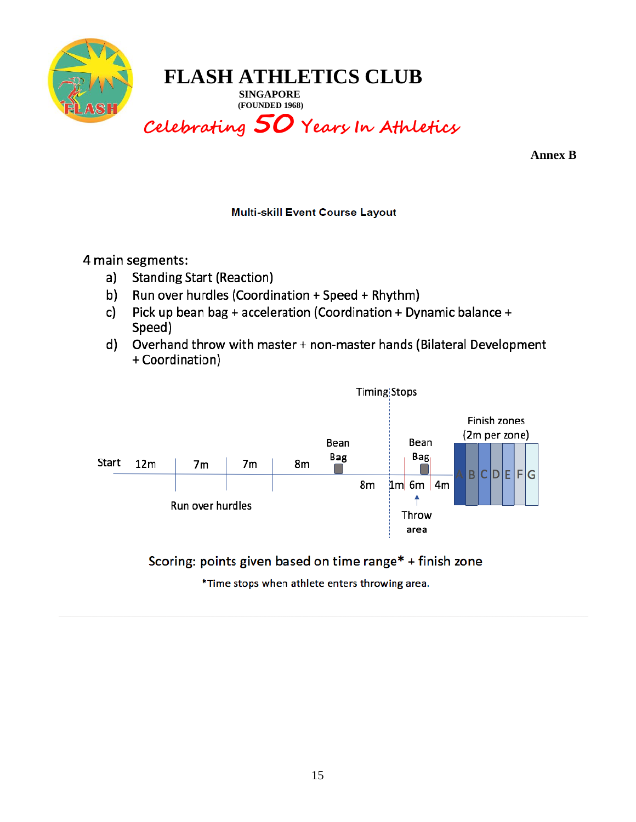

**SINGAPORE (FOUNDED 1968)**

## **Celebrating 50 Years In Athletics**

**Annex B**

### **Multi-skill Event Course Layout**

4 main segments:

- a) **Standing Start (Reaction)**
- b) Run over hurdles (Coordination + Speed + Rhythm)
- Pick up bean bag + acceleration (Coordination + Dynamic balance + c) Speed)
- Overhand throw with master + non-master hands (Bilateral Development d) + Coordination)



Scoring: points given based on time range\* + finish zone

\*Time stops when athlete enters throwing area.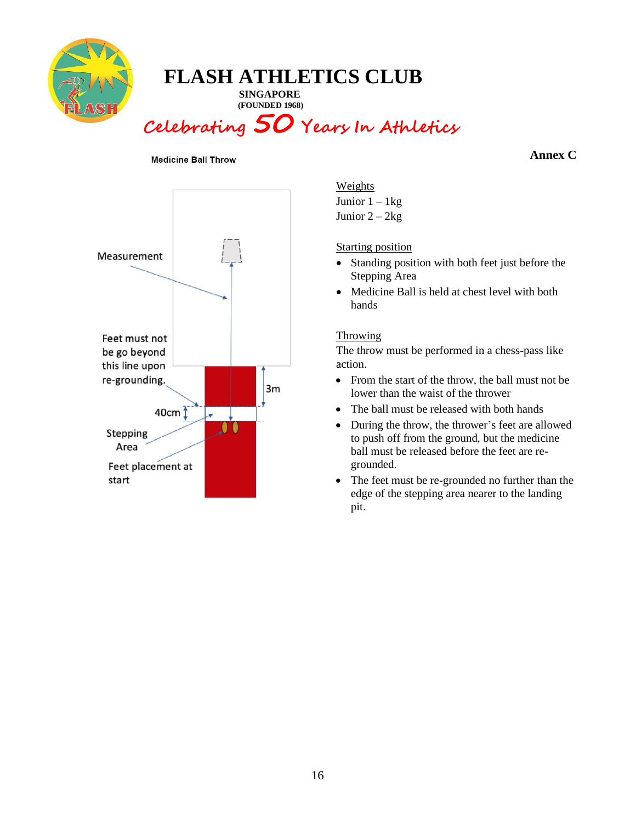

**SINGAPORE (FOUNDED 1968)**

## **Celebrating 50 Years In Athletics**

#### **Medicine Ball Throw**

#### **Annex C**



Weights Junior  $1 - 1$  kg Junior  $2 - 2kg$ 

Starting position

- Standing position with both feet just before the Stepping Area
- Medicine Ball is held at chest level with both hands

#### **Throwing**

The throw must be performed in a chess-pass like action.

- From the start of the throw, the ball must not be lower than the waist of the thrower
- The ball must be released with both hands
- During the throw, the thrower's feet are allowed to push off from the ground, but the medicine ball must be released before the feet are regrounded.
- The feet must be re-grounded no further than the edge of the stepping area nearer to the landing pit.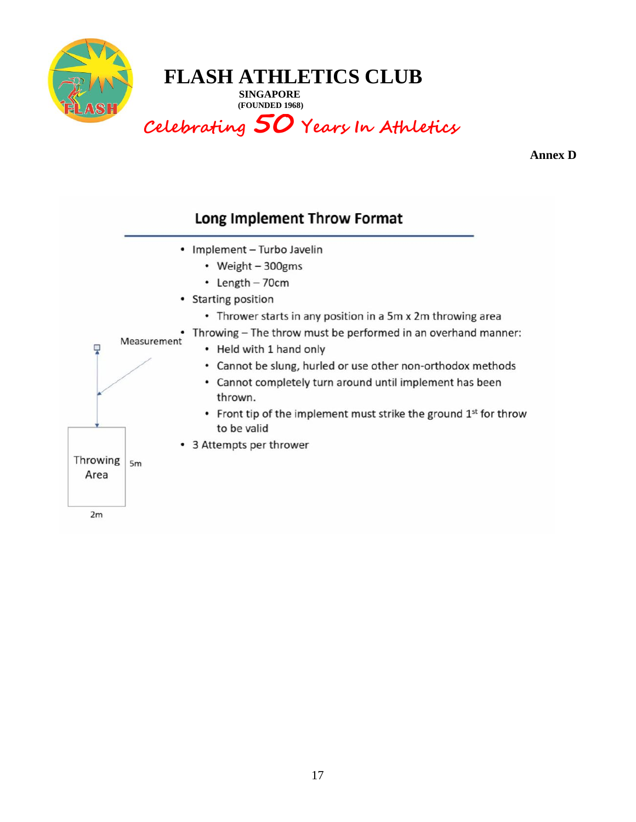

**SINGAPORE (FOUNDED 1968)**

## **Celebrating 50 Years In Athletics**

**Annex D**

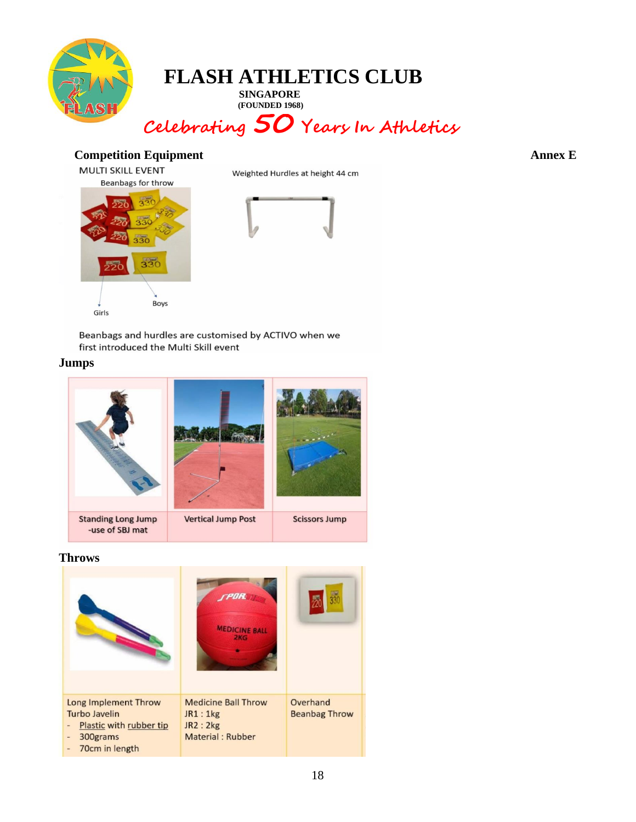

**SINGAPORE (FOUNDED 1968)**

## **Celebrating 50 Years In Athletics**

### **Competition Equipment Annex E**



Boys





Beanbags and hurdles are customised by ACTIVO when we first introduced the Multi Skill event

#### **Jumps**

Girls



#### **Throws**

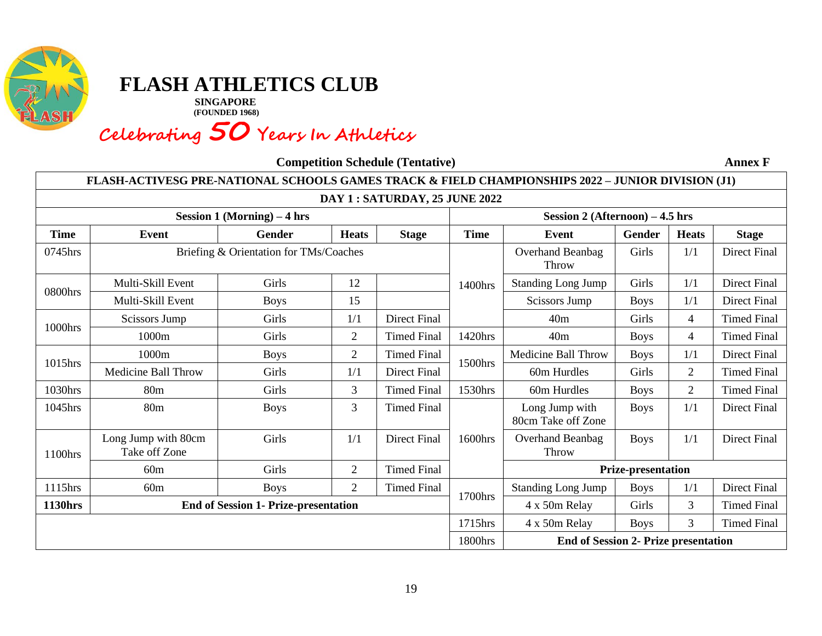

**SINGAPORE (FOUNDED 1968)**

## **Celebrating 50 Years In Athletics**

**Competition Schedule (Tentative) Annex F**

|                                | FLASH-ACTIVESG PRE-NATIONAL SCHOOLS GAMES TRACK & FIELD CHAMPIONSHIPS 2022 - JUNIOR DIVISION (J1) |                                             |                |                     |                                 |                                             |                           |                |                     |  |
|--------------------------------|---------------------------------------------------------------------------------------------------|---------------------------------------------|----------------|---------------------|---------------------------------|---------------------------------------------|---------------------------|----------------|---------------------|--|
| DAY 1 : SATURDAY, 25 JUNE 2022 |                                                                                                   |                                             |                |                     |                                 |                                             |                           |                |                     |  |
| Session 1 (Morning) $-4$ hrs   |                                                                                                   |                                             |                |                     | Session 2 (Afternoon) - 4.5 hrs |                                             |                           |                |                     |  |
| <b>Time</b>                    | <b>Event</b>                                                                                      | Gender                                      | <b>Heats</b>   | <b>Stage</b>        | <b>Time</b>                     | Event                                       | Gender                    | <b>Stage</b>   |                     |  |
| 0745hrs                        | Briefing & Orientation for TMs/Coaches                                                            |                                             |                |                     |                                 | Overhand Beanbag<br>Throw                   | Girls<br>1/1              |                | Direct Final        |  |
| 0800hrs                        | Multi-Skill Event                                                                                 | Girls                                       | 12             |                     | 1400hrs                         | <b>Standing Long Jump</b>                   | Girls                     | 1/1            | <b>Direct Final</b> |  |
|                                | Multi-Skill Event                                                                                 | <b>Boys</b>                                 | 15             |                     |                                 | <b>Scissors Jump</b>                        | <b>Boys</b>               | 1/1            | <b>Direct Final</b> |  |
| 1000hrs                        | <b>Scissors Jump</b>                                                                              | Girls                                       | 1/1            | <b>Direct Final</b> |                                 | 40 <sub>m</sub>                             | Girls                     | $\overline{4}$ | <b>Timed Final</b>  |  |
|                                | 1000m                                                                                             | Girls                                       | $\overline{2}$ | <b>Timed Final</b>  | 1420hrs                         | 40m                                         | <b>Boys</b>               | $\overline{4}$ | <b>Timed Final</b>  |  |
|                                | 1000m                                                                                             | <b>Boys</b>                                 | $\overline{2}$ | <b>Timed Final</b>  |                                 | <b>Medicine Ball Throw</b>                  | <b>Boys</b>               | 1/1            | <b>Direct Final</b> |  |
| 1015hrs                        | <b>Medicine Ball Throw</b>                                                                        | Girls                                       | 1/1            | Direct Final        | 1500hrs                         | 60m Hurdles                                 | Girls                     | $\overline{2}$ | <b>Timed Final</b>  |  |
| 1030hrs                        | 80 <sub>m</sub>                                                                                   | Girls                                       | 3              | <b>Timed Final</b>  | 1530hrs                         | 60m Hurdles                                 | <b>Boys</b>               | $\overline{2}$ | <b>Timed Final</b>  |  |
| 1045hrs                        | 80 <sub>m</sub>                                                                                   | <b>Boys</b>                                 | 3              | <b>Timed Final</b>  |                                 | Long Jump with<br>80cm Take off Zone        | <b>Boys</b>               | 1/1            | <b>Direct Final</b> |  |
| 1100hrs                        | Long Jump with 80cm<br>Take off Zone                                                              | Girls                                       | 1/1            | <b>Direct Final</b> | 1600hrs                         | <b>Overhand Beanbag</b><br>Throw            | <b>Boys</b>               | 1/1            | <b>Direct Final</b> |  |
|                                | 60m                                                                                               | Girls                                       | $\overline{2}$ | <b>Timed Final</b>  |                                 |                                             | <b>Prize-presentation</b> |                |                     |  |
| 1115hrs                        | 60m                                                                                               | <b>Boys</b>                                 | 2              | <b>Timed Final</b>  | 1700hrs                         | <b>Standing Long Jump</b>                   | <b>Boys</b>               | 1/1            | <b>Direct Final</b> |  |
| <b>1130hrs</b>                 |                                                                                                   | <b>End of Session 1- Prize-presentation</b> |                |                     |                                 | 4 x 50m Relay                               | Girls                     | $\overline{3}$ | <b>Timed Final</b>  |  |
|                                |                                                                                                   |                                             |                |                     | 1715hrs                         | 4 x 50m Relay                               | <b>Boys</b>               | 3              | <b>Timed Final</b>  |  |
|                                |                                                                                                   |                                             |                |                     | 1800hrs                         | <b>End of Session 2- Prize presentation</b> |                           |                |                     |  |